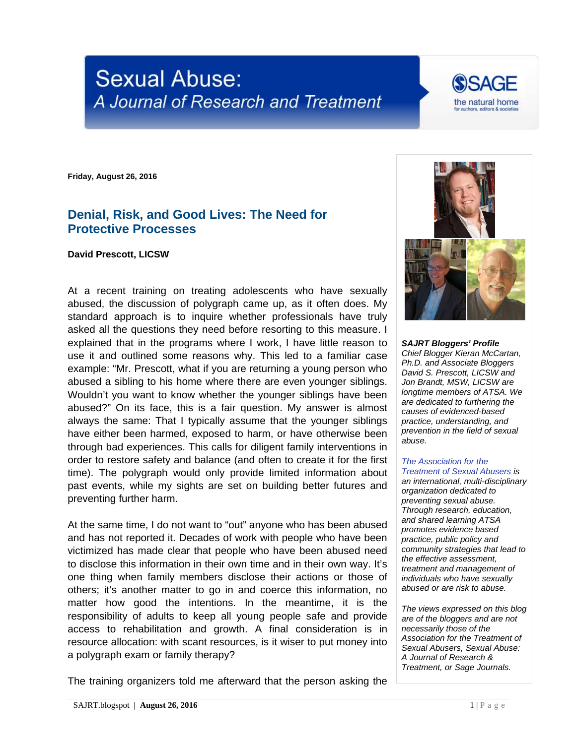# **Sexual Abuse:** A Journal of Research and Treatment

**Friday, August 26, 2016**

## **Denial, Risk, and Good Lives: The Need for Protective Processes**

#### **David Prescott, LICSW**

At a recent training on treating adolescents who have sexually abused, the discussion of polygraph came up, as it often does. My standard approach is to inquire whether professionals have truly asked all the questions they need before resorting to this measure. I explained that in the programs where I work, I have little reason to use it and outlined some reasons why. This led to a familiar case example: "Mr. Prescott, what if you are returning a young person who abused a sibling to his home where there are even younger siblings. Wouldn't you want to know whether the younger siblings have been abused?" On its face, this is a fair question. My answer is almost always the same: That I typically assume that the younger siblings have either been harmed, exposed to harm, or have otherwise been through bad experiences. This calls for diligent family interventions in order to restore safety and balance (and often to create it for the first time). The polygraph would only provide limited information about past events, while my sights are set on building better futures and preventing further harm.

At the same time, I do not want to "out" anyone who has been abused and has not reported it. Decades of work with people who have been victimized has made clear that people who have been abused need to disclose this information in their own time and in their own way. It's one thing when family members disclose their actions or those of others; it's another matter to go in and coerce this information, no matter how good the intentions. In the meantime, it is the responsibility of adults to keep all young people safe and provide access to rehabilitation and growth. A final consideration is in resource allocation: with scant resources, is it wiser to put money into a polygraph exam or family therapy?

The training organizers told me afterward that the person asking the

*SAJRT Bloggers' Profile Chief Blogger Kieran McCartan, Ph.D. and Associate Bloggers David S. Prescott, LICSW and Jon Brandt, MSW, LICSW are longtime members of ATSA. We are dedicated to furthering the causes of evidenced-based practice, understanding, and prevention in the field of sexual abuse.*

#### *[The Association for the](http://atsa.com/)  [Treatment of Sexual Abusers](http://atsa.com/) is*

*an international, multi-disciplinary organization dedicated to preventing sexual abuse. Through research, education, and shared learning ATSA promotes evidence based practice, public policy and community strategies that lead to the effective assessment, treatment and management of individuals who have sexually abused or are risk to abuse.* 

*The views expressed on this blog are of the bloggers and are not necessarily those of the Association for the Treatment of Sexual Abusers, Sexual Abuse: A Journal of Research & Treatment, or Sage Journals.*